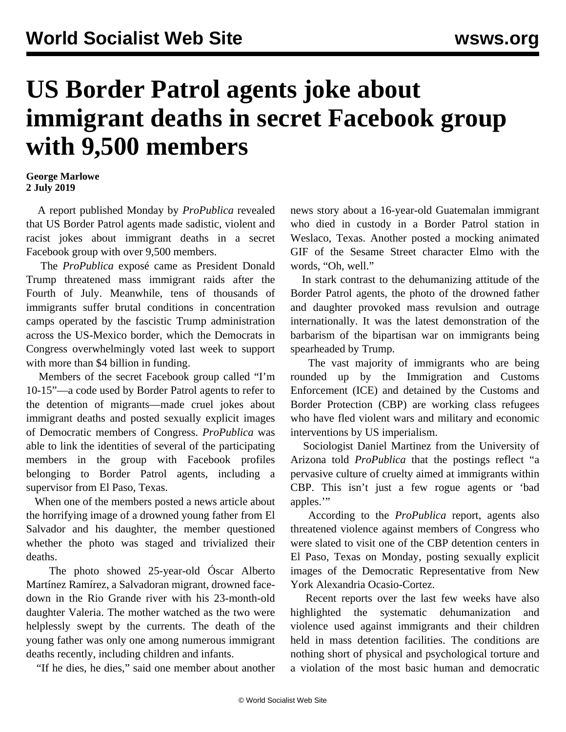## **US Border Patrol agents joke about immigrant deaths in secret Facebook group with 9,500 members**

## **George Marlowe 2 July 2019**

 A report published Monday by *ProPublica* revealed that US Border Patrol agents made sadistic, violent and racist jokes about immigrant deaths in a secret Facebook group with over 9,500 members.

 The *ProPublica* exposé came as President Donald Trump threatened [mass immigrant raids](/en/articles/2019/07/01/immi-j01.html) after the Fourth of July. Meanwhile, tens of thousands of immigrants suffer brutal conditions in concentration camps operated by the fascistic Trump administration across the US-Mexico border, which the Democrats in Congress overwhelmingly voted last week to support with more than \$4 billion in funding.

 Members of the secret Facebook group called "I'm 10-15"—a code used by Border Patrol agents to refer to the detention of migrants—made cruel jokes about immigrant deaths and posted sexually explicit images of Democratic members of Congress. *ProPublica* was able to link the identities of several of the participating members in the group with Facebook profiles belonging to Border Patrol agents, including a supervisor from El Paso, Texas.

 When one of the members posted a news article about the horrifying image of a [drowned young father from El](/en/articles/2019/06/25/immi-j25.html) [Salvador and his daughter](/en/articles/2019/06/25/immi-j25.html), the member questioned whether the photo was staged and trivialized their deaths.

 The photo showed 25-year-old Óscar Alberto Martínez Ramírez, a Salvadoran migrant, drowned facedown in the Rio Grande river with his 23-month-old daughter Valeria. The mother watched as the two were helplessly swept by the currents. The death of the young father was only one among numerous immigrant deaths recently, including children and infants.

"If he dies, he dies," said one member about another

news story about a 16-year-old Guatemalan immigrant who died in custody in a Border Patrol station in Weslaco, Texas. Another posted a mocking animated GIF of the Sesame Street character Elmo with the words, "Oh, well."

 In stark contrast to the dehumanizing attitude of the Border Patrol agents, the photo of the drowned father and daughter provoked mass revulsion and outrage internationally. It was the latest demonstration of the barbarism of the bipartisan war on immigrants being spearheaded by Trump.

 The vast majority of immigrants who are being rounded up by the Immigration and Customs Enforcement (ICE) and detained by the Customs and Border Protection (CBP) are working class refugees who have fled violent wars and military and economic interventions by US imperialism.

 Sociologist Daniel Martinez from the University of Arizona told *ProPublica* that the postings reflect "a pervasive culture of cruelty aimed at immigrants within CBP. This isn't just a few rogue agents or 'bad apples."

 According to the *ProPublica* report, agents also threatened violence against members of Congress who were slated to visit one of the CBP detention centers in El Paso, Texas on Monday, posting sexually explicit images of the Democratic Representative from New York Alexandria Ocasio-Cortez.

 Recent reports over the last few weeks have also highlighted the systematic dehumanization and violence used against immigrants and their children held in mass detention facilities. The conditions are nothing short of physical and psychological torture and a violation of the most basic human and democratic